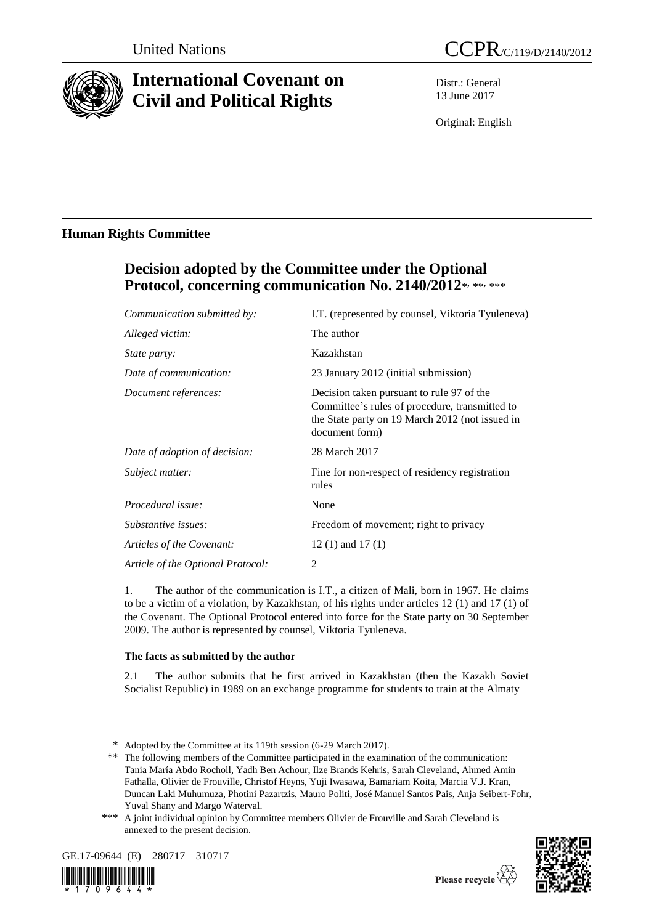

# **International Covenant on Civil and Political Rights**

Distr.: General 13 June 2017

Original: English

# **Human Rights Committee**

# **Decision adopted by the Committee under the Optional**  Protocol, concerning communication No. 2140/2012\*, \*\*, \*\*\*

| I.T. (represented by counsel, Viktoria Tyuleneva)                                                                                                                |
|------------------------------------------------------------------------------------------------------------------------------------------------------------------|
| The author                                                                                                                                                       |
| Kazakhstan                                                                                                                                                       |
| 23 January 2012 (initial submission)                                                                                                                             |
| Decision taken pursuant to rule 97 of the<br>Committee's rules of procedure, transmitted to<br>the State party on 19 March 2012 (not issued in<br>document form) |
| 28 March 2017                                                                                                                                                    |
| Fine for non-respect of residency registration<br>rules                                                                                                          |
| None                                                                                                                                                             |
| Freedom of movement; right to privacy                                                                                                                            |
| $12(1)$ and $17(1)$                                                                                                                                              |
| 2                                                                                                                                                                |
|                                                                                                                                                                  |

1. The author of the communication is I.T., a citizen of Mali, born in 1967. He claims to be a victim of a violation, by Kazakhstan, of his rights under articles 12 (1) and 17 (1) of the Covenant. The Optional Protocol entered into force for the State party on 30 September 2009. The author is represented by counsel, Viktoria Tyuleneva.

## **The facts as submitted by the author**

2.1 The author submits that he first arrived in Kazakhstan (then the Kazakh Soviet Socialist Republic) in 1989 on an exchange programme for students to train at the Almaty

<sup>\*\*\*</sup> A joint individual opinion by Committee members Olivier de Frouville and Sarah Cleveland is annexed to the present decision.





<sup>\*</sup> Adopted by the Committee at its 119th session (6-29 March 2017).

<sup>\*\*</sup> The following members of the Committee participated in the examination of the communication: Tania María Abdo Rocholl, Yadh Ben Achour, Ilze Brands Kehris, Sarah Cleveland, Ahmed Amin Fathalla, Olivier de Frouville, Christof Heyns, Yuji Iwasawa, Bamariam Koita, Marcia V.J. Kran, Duncan Laki Muhumuza, Photini Pazartzis, Mauro Politi, José Manuel Santos Pais, Anja Seibert-Fohr, Yuval Shany and Margo Waterval.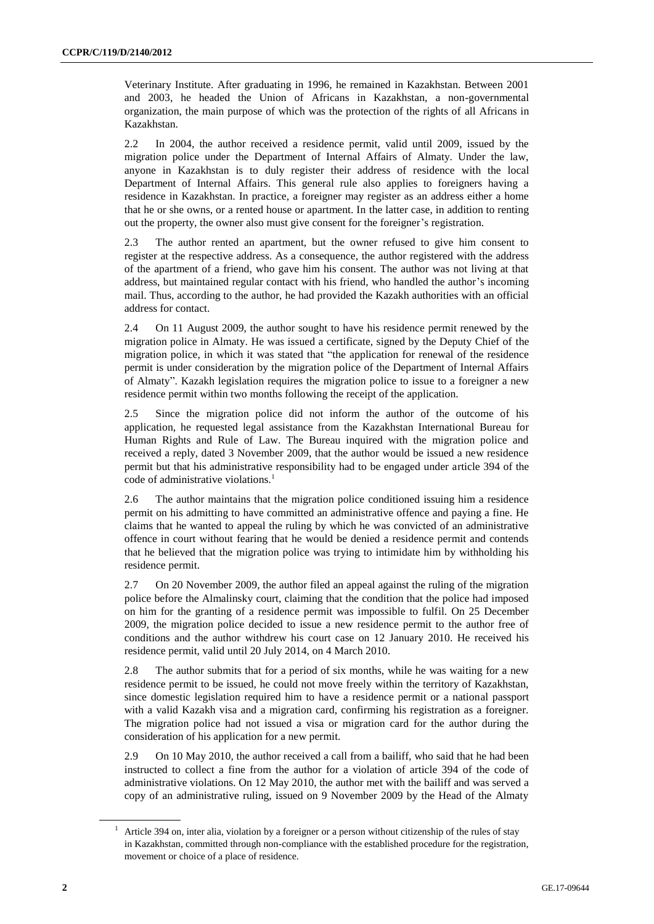Veterinary Institute. After graduating in 1996, he remained in Kazakhstan. Between 2001 and 2003, he headed the Union of Africans in Kazakhstan, a non-governmental organization, the main purpose of which was the protection of the rights of all Africans in Kazakhstan.

2.2 In 2004, the author received a residence permit, valid until 2009, issued by the migration police under the Department of Internal Affairs of Almaty. Under the law, anyone in Kazakhstan is to duly register their address of residence with the local Department of Internal Affairs. This general rule also applies to foreigners having a residence in Kazakhstan. In practice, a foreigner may register as an address either a home that he or she owns, or a rented house or apartment. In the latter case, in addition to renting out the property, the owner also must give consent for the foreigner's registration.

2.3 The author rented an apartment, but the owner refused to give him consent to register at the respective address. As a consequence, the author registered with the address of the apartment of a friend, who gave him his consent. The author was not living at that address, but maintained regular contact with his friend, who handled the author's incoming mail. Thus, according to the author, he had provided the Kazakh authorities with an official address for contact.

2.4 On 11 August 2009, the author sought to have his residence permit renewed by the migration police in Almaty. He was issued a certificate, signed by the Deputy Chief of the migration police, in which it was stated that "the application for renewal of the residence permit is under consideration by the migration police of the Department of Internal Affairs of Almaty". Kazakh legislation requires the migration police to issue to a foreigner a new residence permit within two months following the receipt of the application.

2.5 Since the migration police did not inform the author of the outcome of his application, he requested legal assistance from the Kazakhstan International Bureau for Human Rights and Rule of Law. The Bureau inquired with the migration police and received a reply, dated 3 November 2009, that the author would be issued a new residence permit but that his administrative responsibility had to be engaged under article 394 of the code of administrative violations.<sup>1</sup>

2.6 The author maintains that the migration police conditioned issuing him a residence permit on his admitting to have committed an administrative offence and paying a fine. He claims that he wanted to appeal the ruling by which he was convicted of an administrative offence in court without fearing that he would be denied a residence permit and contends that he believed that the migration police was trying to intimidate him by withholding his residence permit.

2.7 On 20 November 2009, the author filed an appeal against the ruling of the migration police before the Almalinsky court, claiming that the condition that the police had imposed on him for the granting of a residence permit was impossible to fulfil. On 25 December 2009, the migration police decided to issue a new residence permit to the author free of conditions and the author withdrew his court case on 12 January 2010. He received his residence permit, valid until 20 July 2014, on 4 March 2010.

2.8 The author submits that for a period of six months, while he was waiting for a new residence permit to be issued, he could not move freely within the territory of Kazakhstan, since domestic legislation required him to have a residence permit or a national passport with a valid Kazakh visa and a migration card, confirming his registration as a foreigner. The migration police had not issued a visa or migration card for the author during the consideration of his application for a new permit.

2.9 On 10 May 2010, the author received a call from a bailiff, who said that he had been instructed to collect a fine from the author for a violation of article 394 of the code of administrative violations. On 12 May 2010, the author met with the bailiff and was served a copy of an administrative ruling, issued on 9 November 2009 by the Head of the Almaty

 $1$  Article 394 on, inter alia, violation by a foreigner or a person without citizenship of the rules of stay in Kazakhstan, committed through non-compliance with the established procedure for the registration, movement or choice of a place of residence.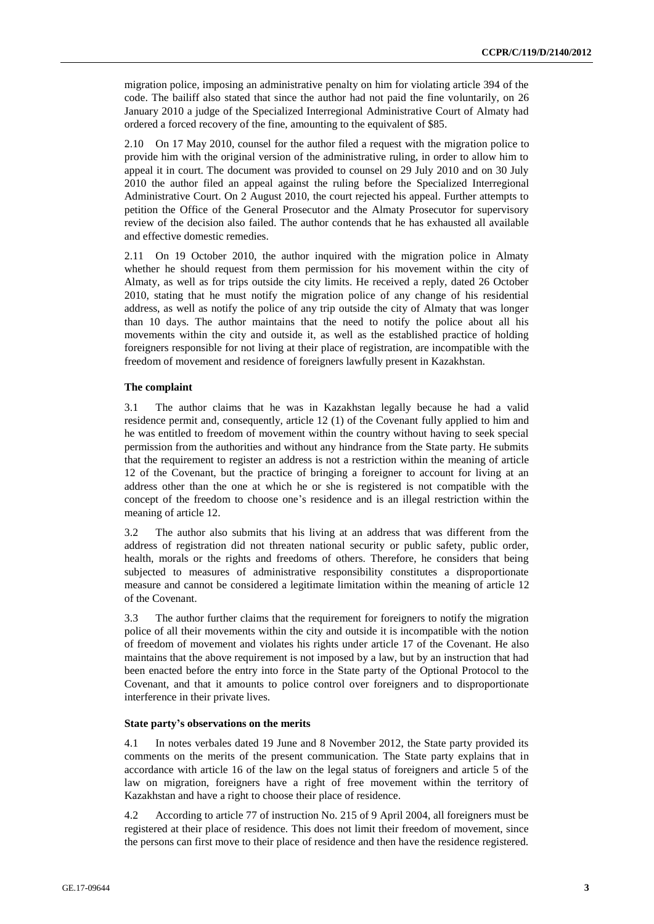migration police, imposing an administrative penalty on him for violating article 394 of the code. The bailiff also stated that since the author had not paid the fine voluntarily, on 26 January 2010 a judge of the Specialized Interregional Administrative Court of Almaty had ordered a forced recovery of the fine, amounting to the equivalent of \$85.

2.10 On 17 May 2010, counsel for the author filed a request with the migration police to provide him with the original version of the administrative ruling, in order to allow him to appeal it in court. The document was provided to counsel on 29 July 2010 and on 30 July 2010 the author filed an appeal against the ruling before the Specialized Interregional Administrative Court. On 2 August 2010, the court rejected his appeal. Further attempts to petition the Office of the General Prosecutor and the Almaty Prosecutor for supervisory review of the decision also failed. The author contends that he has exhausted all available and effective domestic remedies.

2.11 On 19 October 2010, the author inquired with the migration police in Almaty whether he should request from them permission for his movement within the city of Almaty, as well as for trips outside the city limits. He received a reply, dated 26 October 2010, stating that he must notify the migration police of any change of his residential address, as well as notify the police of any trip outside the city of Almaty that was longer than 10 days. The author maintains that the need to notify the police about all his movements within the city and outside it, as well as the established practice of holding foreigners responsible for not living at their place of registration, are incompatible with the freedom of movement and residence of foreigners lawfully present in Kazakhstan.

#### **The complaint**

3.1 The author claims that he was in Kazakhstan legally because he had a valid residence permit and, consequently, article 12 (1) of the Covenant fully applied to him and he was entitled to freedom of movement within the country without having to seek special permission from the authorities and without any hindrance from the State party. He submits that the requirement to register an address is not a restriction within the meaning of article 12 of the Covenant, but the practice of bringing a foreigner to account for living at an address other than the one at which he or she is registered is not compatible with the concept of the freedom to choose one's residence and is an illegal restriction within the meaning of article 12.

3.2 The author also submits that his living at an address that was different from the address of registration did not threaten national security or public safety, public order, health, morals or the rights and freedoms of others. Therefore, he considers that being subjected to measures of administrative responsibility constitutes a disproportionate measure and cannot be considered a legitimate limitation within the meaning of article 12 of the Covenant.

3.3 The author further claims that the requirement for foreigners to notify the migration police of all their movements within the city and outside it is incompatible with the notion of freedom of movement and violates his rights under article 17 of the Covenant. He also maintains that the above requirement is not imposed by a law, but by an instruction that had been enacted before the entry into force in the State party of the Optional Protocol to the Covenant, and that it amounts to police control over foreigners and to disproportionate interference in their private lives.

#### **State party's observations on the merits**

4.1 In notes verbales dated 19 June and 8 November 2012, the State party provided its comments on the merits of the present communication. The State party explains that in accordance with article 16 of the law on the legal status of foreigners and article 5 of the law on migration, foreigners have a right of free movement within the territory of Kazakhstan and have a right to choose their place of residence.

4.2 According to article 77 of instruction No. 215 of 9 April 2004, all foreigners must be registered at their place of residence. This does not limit their freedom of movement, since the persons can first move to their place of residence and then have the residence registered.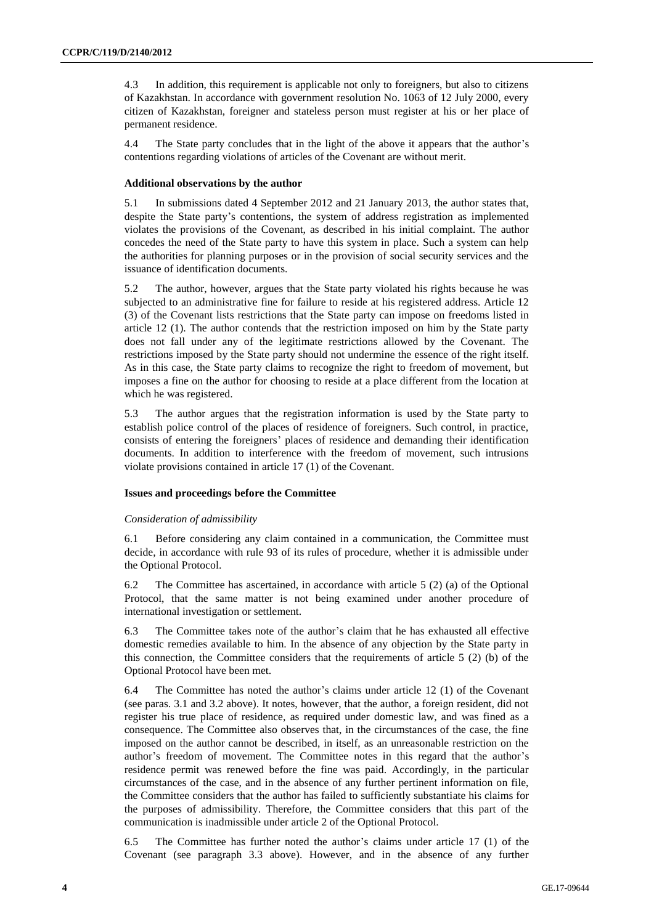4.3 In addition, this requirement is applicable not only to foreigners, but also to citizens of Kazakhstan. In accordance with government resolution No. 1063 of 12 July 2000, every citizen of Kazakhstan, foreigner and stateless person must register at his or her place of permanent residence.

4.4 The State party concludes that in the light of the above it appears that the author's contentions regarding violations of articles of the Covenant are without merit.

#### **Additional observations by the author**

5.1 In submissions dated 4 September 2012 and 21 January 2013, the author states that, despite the State party's contentions, the system of address registration as implemented violates the provisions of the Covenant, as described in his initial complaint. The author concedes the need of the State party to have this system in place. Such a system can help the authorities for planning purposes or in the provision of social security services and the issuance of identification documents.

5.2 The author, however, argues that the State party violated his rights because he was subjected to an administrative fine for failure to reside at his registered address. Article 12 (3) of the Covenant lists restrictions that the State party can impose on freedoms listed in article 12 (1). The author contends that the restriction imposed on him by the State party does not fall under any of the legitimate restrictions allowed by the Covenant. The restrictions imposed by the State party should not undermine the essence of the right itself. As in this case, the State party claims to recognize the right to freedom of movement, but imposes a fine on the author for choosing to reside at a place different from the location at which he was registered.

5.3 The author argues that the registration information is used by the State party to establish police control of the places of residence of foreigners. Such control, in practice, consists of entering the foreigners' places of residence and demanding their identification documents. In addition to interference with the freedom of movement, such intrusions violate provisions contained in article 17 (1) of the Covenant.

#### **Issues and proceedings before the Committee**

#### *Consideration of admissibility*

6.1 Before considering any claim contained in a communication, the Committee must decide, in accordance with rule 93 of its rules of procedure, whether it is admissible under the Optional Protocol.

6.2 The Committee has ascertained, in accordance with article 5 (2) (a) of the Optional Protocol, that the same matter is not being examined under another procedure of international investigation or settlement.

6.3 The Committee takes note of the author's claim that he has exhausted all effective domestic remedies available to him. In the absence of any objection by the State party in this connection, the Committee considers that the requirements of article 5 (2) (b) of the Optional Protocol have been met.

6.4 The Committee has noted the author's claims under article 12 (1) of the Covenant (see paras. 3.1 and 3.2 above). It notes, however, that the author, a foreign resident, did not register his true place of residence, as required under domestic law, and was fined as a consequence. The Committee also observes that, in the circumstances of the case, the fine imposed on the author cannot be described, in itself, as an unreasonable restriction on the author's freedom of movement. The Committee notes in this regard that the author's residence permit was renewed before the fine was paid. Accordingly, in the particular circumstances of the case, and in the absence of any further pertinent information on file, the Committee considers that the author has failed to sufficiently substantiate his claims for the purposes of admissibility. Therefore, the Committee considers that this part of the communication is inadmissible under article 2 of the Optional Protocol.

6.5 The Committee has further noted the author's claims under article 17 (1) of the Covenant (see paragraph 3.3 above). However, and in the absence of any further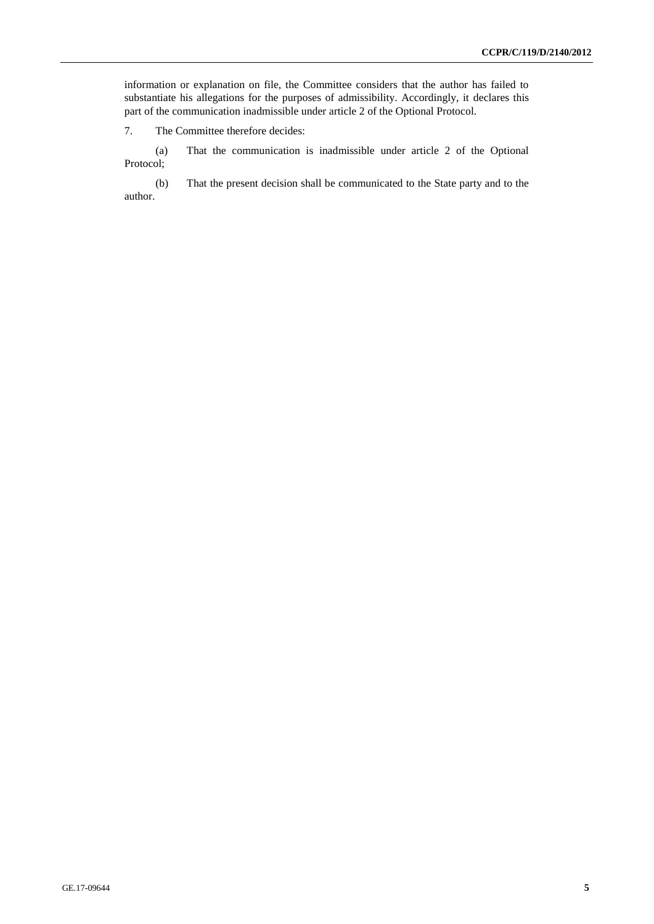information or explanation on file, the Committee considers that the author has failed to substantiate his allegations for the purposes of admissibility. Accordingly, it declares this part of the communication inadmissible under article 2 of the Optional Protocol.

7. The Committee therefore decides:

(a) That the communication is inadmissible under article 2 of the Optional Protocol;

(b) That the present decision shall be communicated to the State party and to the author.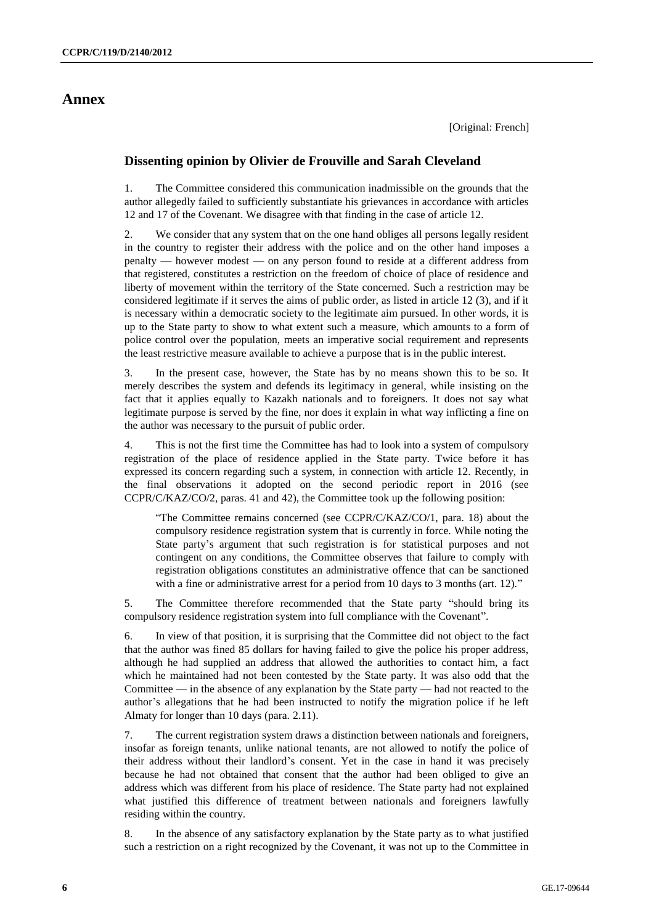### **Annex**

### **Dissenting opinion by Olivier de Frouville and Sarah Cleveland**

1. The Committee considered this communication inadmissible on the grounds that the author allegedly failed to sufficiently substantiate his grievances in accordance with articles 12 and 17 of the Covenant. We disagree with that finding in the case of article 12.

2. We consider that any system that on the one hand obliges all persons legally resident in the country to register their address with the police and on the other hand imposes a penalty — however modest — on any person found to reside at a different address from that registered, constitutes a restriction on the freedom of choice of place of residence and liberty of movement within the territory of the State concerned. Such a restriction may be considered legitimate if it serves the aims of public order, as listed in article 12 (3), and if it is necessary within a democratic society to the legitimate aim pursued. In other words, it is up to the State party to show to what extent such a measure, which amounts to a form of police control over the population, meets an imperative social requirement and represents the least restrictive measure available to achieve a purpose that is in the public interest.

3. In the present case, however, the State has by no means shown this to be so. It merely describes the system and defends its legitimacy in general, while insisting on the fact that it applies equally to Kazakh nationals and to foreigners. It does not say what legitimate purpose is served by the fine, nor does it explain in what way inflicting a fine on the author was necessary to the pursuit of public order.

4. This is not the first time the Committee has had to look into a system of compulsory registration of the place of residence applied in the State party. Twice before it has expressed its concern regarding such a system, in connection with article 12. Recently, in the final observations it adopted on the second periodic report in 2016 (see CCPR/C/KAZ/CO/2, paras. 41 and 42), the Committee took up the following position:

"The Committee remains concerned (see CCPR/C/KAZ/CO/1, para. 18) about the compulsory residence registration system that is currently in force. While noting the State party's argument that such registration is for statistical purposes and not contingent on any conditions, the Committee observes that failure to comply with registration obligations constitutes an administrative offence that can be sanctioned with a fine or administrative arrest for a period from 10 days to 3 months (art. 12)."

5. The Committee therefore recommended that the State party "should bring its compulsory residence registration system into full compliance with the Covenant".

6. In view of that position, it is surprising that the Committee did not object to the fact that the author was fined 85 dollars for having failed to give the police his proper address, although he had supplied an address that allowed the authorities to contact him, a fact which he maintained had not been contested by the State party. It was also odd that the Committee — in the absence of any explanation by the State party — had not reacted to the author's allegations that he had been instructed to notify the migration police if he left Almaty for longer than 10 days (para. 2.11).

7. The current registration system draws a distinction between nationals and foreigners, insofar as foreign tenants, unlike national tenants, are not allowed to notify the police of their address without their landlord's consent. Yet in the case in hand it was precisely because he had not obtained that consent that the author had been obliged to give an address which was different from his place of residence. The State party had not explained what justified this difference of treatment between nationals and foreigners lawfully residing within the country.

8. In the absence of any satisfactory explanation by the State party as to what justified such a restriction on a right recognized by the Covenant, it was not up to the Committee in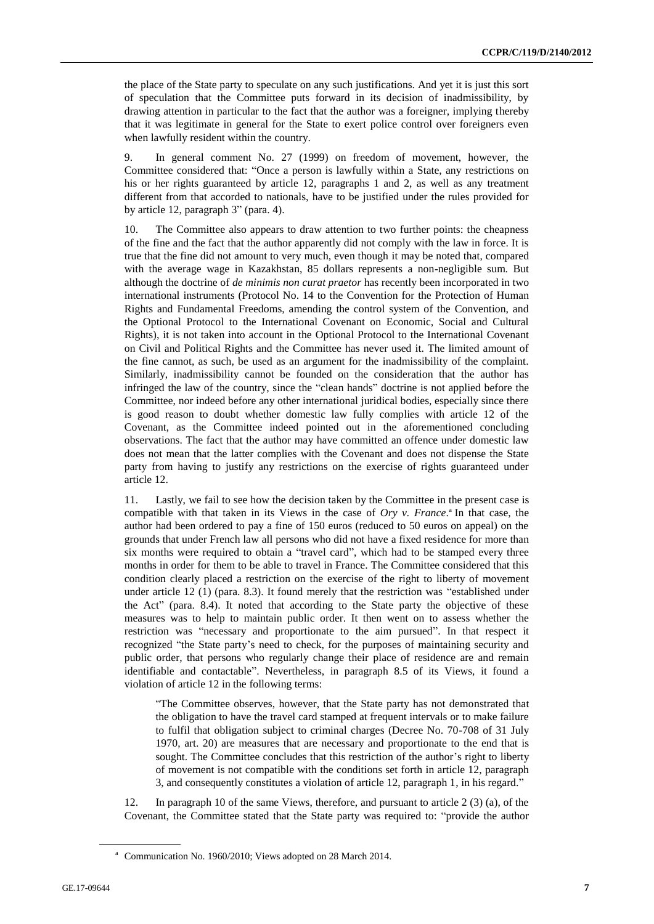the place of the State party to speculate on any such justifications. And yet it is just this sort of speculation that the Committee puts forward in its decision of inadmissibility, by drawing attention in particular to the fact that the author was a foreigner, implying thereby that it was legitimate in general for the State to exert police control over foreigners even when lawfully resident within the country.

9. In general comment No. 27 (1999) on freedom of movement, however, the Committee considered that: "Once a person is lawfully within a State, any restrictions on his or her rights guaranteed by article 12, paragraphs 1 and 2, as well as any treatment different from that accorded to nationals, have to be justified under the rules provided for by article 12, paragraph 3" (para. 4).

10. The Committee also appears to draw attention to two further points: the cheapness of the fine and the fact that the author apparently did not comply with the law in force. It is true that the fine did not amount to very much, even though it may be noted that, compared with the average wage in Kazakhstan, 85 dollars represents a non-negligible sum. But although the doctrine of *de minimis non curat praetor* has recently been incorporated in two international instruments (Protocol No. 14 to the Convention for the Protection of Human Rights and Fundamental Freedoms, amending the control system of the Convention, and the Optional Protocol to the International Covenant on Economic, Social and Cultural Rights), it is not taken into account in the Optional Protocol to the International Covenant on Civil and Political Rights and the Committee has never used it. The limited amount of the fine cannot, as such, be used as an argument for the inadmissibility of the complaint. Similarly, inadmissibility cannot be founded on the consideration that the author has infringed the law of the country, since the "clean hands" doctrine is not applied before the Committee, nor indeed before any other international juridical bodies, especially since there is good reason to doubt whether domestic law fully complies with article 12 of the Covenant, as the Committee indeed pointed out in the aforementioned concluding observations. The fact that the author may have committed an offence under domestic law does not mean that the latter complies with the Covenant and does not dispense the State party from having to justify any restrictions on the exercise of rights guaranteed under article 12.

11. Lastly, we fail to see how the decision taken by the Committee in the present case is compatible with that taken in its Views in the case of *Ory v. France*.<sup>a</sup> In that case, the author had been ordered to pay a fine of 150 euros (reduced to 50 euros on appeal) on the grounds that under French law all persons who did not have a fixed residence for more than six months were required to obtain a "travel card", which had to be stamped every three months in order for them to be able to travel in France. The Committee considered that this condition clearly placed a restriction on the exercise of the right to liberty of movement under article 12 (1) (para. 8.3). It found merely that the restriction was "established under the Act" (para. 8.4). It noted that according to the State party the objective of these measures was to help to maintain public order. It then went on to assess whether the restriction was "necessary and proportionate to the aim pursued". In that respect it recognized "the State party's need to check, for the purposes of maintaining security and public order, that persons who regularly change their place of residence are and remain identifiable and contactable". Nevertheless, in paragraph 8.5 of its Views, it found a violation of article 12 in the following terms:

"The Committee observes, however, that the State party has not demonstrated that the obligation to have the travel card stamped at frequent intervals or to make failure to fulfil that obligation subject to criminal charges (Decree No. 70-708 of 31 July 1970, art. 20) are measures that are necessary and proportionate to the end that is sought. The Committee concludes that this restriction of the author's right to liberty of movement is not compatible with the conditions set forth in article 12, paragraph 3, and consequently constitutes a violation of article 12, paragraph 1, in his regard."

12. In paragraph 10 of the same Views, therefore, and pursuant to article 2 (3) (a), of the Covenant, the Committee stated that the State party was required to: "provide the author

<sup>a</sup> Communication No. 1960/2010; Views adopted on 28 March 2014.